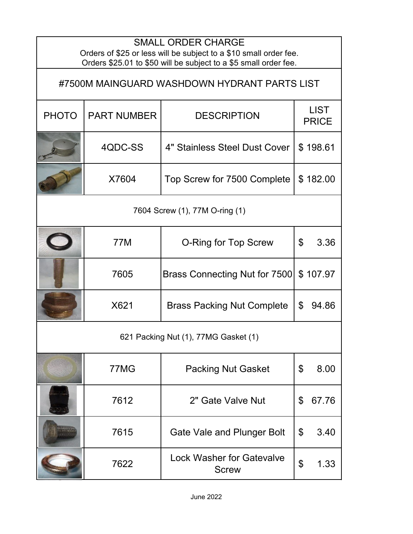| <b>SMALL ORDER CHARGE</b><br>Orders of \$25 or less will be subject to a \$10 small order fee.<br>Orders \$25.01 to \$50 will be subject to a \$5 small order fee. |                    |                                                  |                             |  |  |
|--------------------------------------------------------------------------------------------------------------------------------------------------------------------|--------------------|--------------------------------------------------|-----------------------------|--|--|
| #7500M MAINGUARD WASHDOWN HYDRANT PARTS LIST                                                                                                                       |                    |                                                  |                             |  |  |
| <b>PHOTO</b>                                                                                                                                                       | <b>PART NUMBER</b> | <b>DESCRIPTION</b>                               | <b>LIST</b><br><b>PRICE</b> |  |  |
|                                                                                                                                                                    | 4QDC-SS            | 4" Stainless Steel Dust Cover                    | \$198.61                    |  |  |
|                                                                                                                                                                    | X7604              | Top Screw for 7500 Complete                      | \$182.00                    |  |  |
| 7604 Screw (1), 77M O-ring (1)                                                                                                                                     |                    |                                                  |                             |  |  |
|                                                                                                                                                                    | 77M                | <b>O-Ring for Top Screw</b>                      | \$<br>3.36                  |  |  |
|                                                                                                                                                                    | 7605               | Brass Connecting Nut for 7500                    | \$107.97                    |  |  |
|                                                                                                                                                                    | X621               | <b>Brass Packing Nut Complete</b>                | \$<br>94.86                 |  |  |
| 621 Packing Nut (1), 77MG Gasket (1)                                                                                                                               |                    |                                                  |                             |  |  |
|                                                                                                                                                                    | 77MG               | <b>Packing Nut Gasket</b>                        | \$<br>8.00                  |  |  |
|                                                                                                                                                                    | 7612               | 2" Gate Valve Nut                                | 67.76<br>\$                 |  |  |
|                                                                                                                                                                    | 7615               | Gate Vale and Plunger Bolt                       | \$<br>3.40                  |  |  |
|                                                                                                                                                                    | 7622               | <b>Lock Washer for Gatevalve</b><br><b>Screw</b> | \$<br>1.33                  |  |  |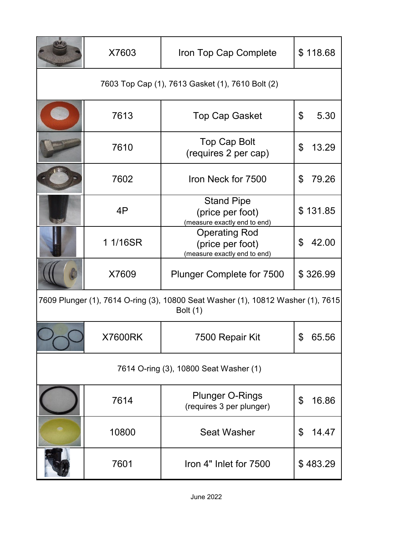|                                                                                                     | X7603    | Iron Top Cap Complete                                                    | \$118.68    |  |  |
|-----------------------------------------------------------------------------------------------------|----------|--------------------------------------------------------------------------|-------------|--|--|
| 7603 Top Cap (1), 7613 Gasket (1), 7610 Bolt (2)                                                    |          |                                                                          |             |  |  |
|                                                                                                     | 7613     | <b>Top Cap Gasket</b>                                                    | \$<br>5.30  |  |  |
|                                                                                                     | 7610     | <b>Top Cap Bolt</b><br>(requires 2 per cap)                              | \$<br>13.29 |  |  |
|                                                                                                     | 7602     | Iron Neck for 7500                                                       | 79.26<br>\$ |  |  |
|                                                                                                     | 4P       | <b>Stand Pipe</b><br>(price per foot)<br>(measure exactly end to end)    | \$131.85    |  |  |
|                                                                                                     | 1 1/16SR | <b>Operating Rod</b><br>(price per foot)<br>(measure exactly end to end) | \$<br>42.00 |  |  |
|                                                                                                     | X7609    | <b>Plunger Complete for 7500</b>                                         | \$326.99    |  |  |
| 7609 Plunger (1), 7614 O-ring (3), 10800 Seat Washer (1), 10812 Washer (1), 7615<br><b>Bolt</b> (1) |          |                                                                          |             |  |  |
|                                                                                                     | X7600RK  | 7500 Repair Kit                                                          | ደ<br>65.56  |  |  |
| 7614 O-ring (3), 10800 Seat Washer (1)                                                              |          |                                                                          |             |  |  |
|                                                                                                     | 7614     | <b>Plunger O-Rings</b><br>(requires 3 per plunger)                       | \$<br>16.86 |  |  |
|                                                                                                     | 10800    | <b>Seat Washer</b>                                                       | \$<br>14.47 |  |  |
|                                                                                                     | 7601     | Iron 4" Inlet for 7500                                                   | \$483.29    |  |  |